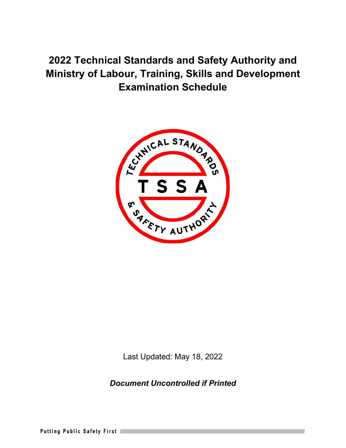

Last Updated: May 18, 2022

*Document Uncontrolled if Printed*

**Putting Public Safety First**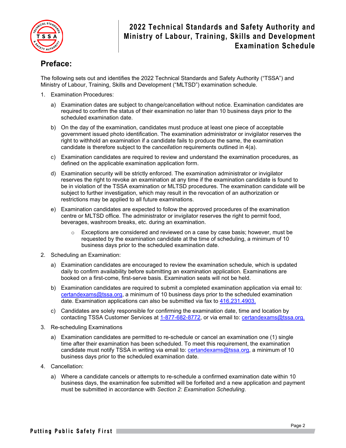

## **Preface:**

The following sets out and identifies the 2022 Technical Standards and Safety Authority ("TSSA") and Ministry of Labour, Training, Skills and Development ("MLTSD") examination schedule.

- 1. Examination Procedures:
	- a) Examination dates are subject to change/cancellation without notice. Examination candidates are required to confirm the status of their examination no later than 10 business days prior to the scheduled examination date.
	- b) On the day of the examination, candidates must produce at least one piece of acceptable government issued photo identification. The examination administrator or invigilator reserves the right to withhold an examination if a candidate fails to produce the same, the examination candidate is therefore subject to the *cancellation* requirements outlined in 4(a).
	- c) Examination candidates are required to review and understand the examination procedures, as defined on the applicable examination application form.
	- d) Examination security will be strictly enforced. The examination administrator or invigilator reserves the right to revoke an examination at any time if the examination candidate is found to be in violation of the TSSA examination or MLTSD procedures. The examination candidate will be subject to further investigation, which may result in the revocation of an authorization or restrictions may be applied to all future examinations.
	- e) Examination candidates are expected to follow the approved procedures of the examination centre or MLTSD office. The administrator or invigilator reserves the right to permit food, beverages, washroom breaks, etc. during an examination.
		- $\circ$  Exceptions are considered and reviewed on a case by case basis; however, must be requested by the examination candidate at the time of scheduling, a minimum of 10 business days prior to the scheduled examination date.
- 2. Scheduling an Examination:
	- a) Examination candidates are encouraged to review the examination schedule, which is updated daily to confirm availability before submitting an examination application. Examinations are booked on a first-come, first-serve basis. Examination seats will not be held.
	- b) Examination candidates are required to submit a completed examination application via email to: [certandexams@tssa.org,](mailto:certandexams@tssa.org) a minimum of 10 business days prior to the scheduled examination date. Examination applications can also be submitted via fax to 416.231.4903.
	- c) Candidates are solely responsible for confirming the examination date, time and location by contacting TSSA Customer Services at 1-877-682-8772, or via email to: [certandexams@tssa.org.](mailto:certandexams@tssa.org)
- 3. Re-scheduling Examinations
	- a) Examination candidates are permitted to re-schedule or cancel an examination one (1) single time after their examination has been scheduled. To meet this requirement, the examination candidate must notify TSSA in writing via email to: [certandexams@tssa.org,](mailto:certandexams@tssa.org) a minimum of 10 business days prior to the scheduled examination date.
- 4. Cancellation:
	- a) Where a candidate cancels or attempts to re-schedule a confirmed examination date within 10 business days, the examination fee submitted will be forfeited and a new application and payment must be submitted in accordance with *Section 2: Examination Scheduling*.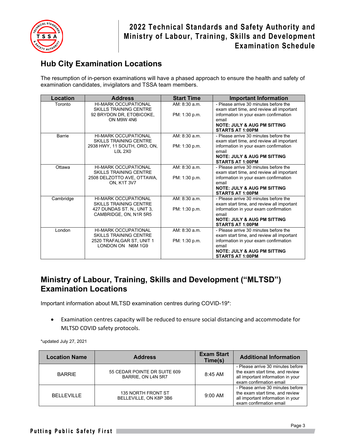

## **Hub City Examination Locations**

The resumption of in-person examinations will have a phased approach to ensure the health and safety of examination candidates, invigilators and TSSA team members.

| Location      | <b>Address</b>                                               | <b>Start Time</b> | <b>Important Information</b>                                                       |
|---------------|--------------------------------------------------------------|-------------------|------------------------------------------------------------------------------------|
| Toronto       | <b>HI-MARK OCCUPATIONAL</b>                                  | AM: 8:30 a.m.     | - Please arrive 30 minutes before the                                              |
|               | <b>SKILLS TRAINING CENTRE</b>                                |                   | exam start time, and review all important                                          |
|               | 92 BRYDON DR, ETOBICOKE,                                     | PM: 1:30 p.m.     | information in your exam confirmation                                              |
|               | ON M9W 4N6                                                   |                   | email                                                                              |
|               |                                                              |                   | <b>NOTE: JULY &amp; AUG PM SITTING</b>                                             |
|               |                                                              | AM: 8:30 a.m.     | <b>STARTS AT 1:00PM</b><br>- Please arrive 30 minutes before the                   |
| <b>Barrie</b> | <b>HI-MARK OCCUPATIONAL</b><br><b>SKILLS TRAINING CENTRE</b> |                   | exam start time, and review all important                                          |
|               | 2938 HWY, 11 SOUTH, ORO, ON,                                 | PM: 1:30 p.m.     | information in your exam confirmation                                              |
|               | $LOL$ 2 $XO$                                                 |                   | email                                                                              |
|               |                                                              |                   | <b>NOTE: JULY &amp; AUG PM SITTING</b>                                             |
|               |                                                              |                   | <b>STARTS AT 1:00PM</b>                                                            |
| Ottawa        | <b>HI-MARK OCCUPATIONAL</b>                                  | AM: 8:30 a.m.     | - Please arrive 30 minutes before the                                              |
|               | <b>SKILLS TRAINING CENTRE</b>                                |                   | exam start time, and review all important                                          |
|               | 2508 DELZOTTO AVE, OTTAWA,                                   | PM: 1:30 p.m.     | information in your exam confirmation                                              |
|               | <b>ON, K1T 3V7</b>                                           |                   | email                                                                              |
|               |                                                              |                   | <b>NOTE: JULY &amp; AUG PM SITTING</b>                                             |
|               |                                                              |                   | <b>STARTS AT 1:00PM</b>                                                            |
| Cambridge     | <b>HI-MARK OCCUPATIONAL</b><br><b>SKILLS TRAINING CENTRE</b> | AM: 8:30 a.m.     | - Please arrive 30 minutes before the                                              |
|               | 427 DUNDAS ST. N., UNIT 3,                                   | PM: 1:30 p.m.     | exam start time, and review all important<br>information in your exam confirmation |
|               | CAMBRIDGE, ON, N1R 5R5                                       |                   | email                                                                              |
|               |                                                              |                   | <b>NOTE: JULY &amp; AUG PM SITTING</b>                                             |
|               |                                                              |                   | <b>STARTS AT 1:00PM</b>                                                            |
| London        | <b>HI-MARK OCCUPATIONAL</b>                                  | AM: 8:30 a.m.     | - Please arrive 30 minutes before the                                              |
|               | <b>SKILLS TRAINING CENTRE</b>                                |                   | exam start time, and review all important                                          |
|               | 2520 TRAFALGAR ST, UNIT 1                                    | PM: 1:30 p.m.     | information in your exam confirmation                                              |
|               | LONDON ON N6M 1G9                                            |                   | email                                                                              |
|               |                                                              |                   | <b>NOTE: JULY &amp; AUG PM SITTING</b>                                             |
|               |                                                              |                   | <b>STARTS AT 1:00PM</b>                                                            |

#### **Ministry of Labour, Training, Skills and Development ("MLTSD") Examination Locations**

Important information about MLTSD examination centres during COVID-19\*:

• Examination centres capacity will be reduced to ensure social distancing and accommodate for MLTSD COVID safety protocols.

\*updated July 27, 2021

| <b>Location Name</b> | <b>Address</b>                                     | <b>Exam Start</b><br>Time(s) | <b>Additional Information</b>                                                                                                        |
|----------------------|----------------------------------------------------|------------------------------|--------------------------------------------------------------------------------------------------------------------------------------|
| <b>BARRIE</b>        | 55 CEDAR POINTE DR SUITE 609<br>BARRIE, ON L4N 5R7 | $8:45$ AM                    | - Please arrive 30 minutes before<br>the exam start time, and review<br>all important information in your<br>exam confirmation email |
| <b>BELLEVILLE</b>    | 135 NORTH FRONT ST<br>BELLEVILLE, ON K8P 3B6       | $9:00$ AM                    | - Please arrive 30 minutes before<br>the exam start time, and review<br>all important information in your<br>exam confirmation email |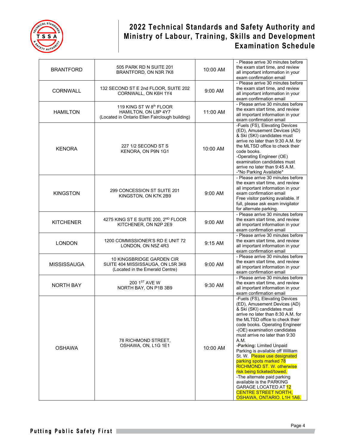

| <b>BRANTFORD</b>   | 505 PARK RD N SUITE 201<br>BRANTFORD, ON N3R 7K8                                                  | 10:00 AM  | - Please arrive 30 minutes before<br>the exam start time, and review<br>all important information in your<br>exam confirmation email                                                                                                                                                                                                                                                                                                                                                                                                                                                                                                  |
|--------------------|---------------------------------------------------------------------------------------------------|-----------|---------------------------------------------------------------------------------------------------------------------------------------------------------------------------------------------------------------------------------------------------------------------------------------------------------------------------------------------------------------------------------------------------------------------------------------------------------------------------------------------------------------------------------------------------------------------------------------------------------------------------------------|
| <b>CORNWALL</b>    | 132 SECOND ST E 2nd FLOOR, SUITE 202<br>CORNWALL, ON K6H 1Y4                                      | $9:00$ AM | - Please arrive 30 minutes before<br>the exam start time, and review<br>all important information in your<br>exam confirmation email                                                                                                                                                                                                                                                                                                                                                                                                                                                                                                  |
| <b>HAMILTON</b>    | 119 KING ST W 8th FLOOR<br>HAMILTON, ON L8P 4Y7<br>(Located in Ontario Ellen Fairclough building) | 11:00 AM  | - Please arrive 30 minutes before<br>the exam start time, and review<br>all important information in your<br>exam confirmation email                                                                                                                                                                                                                                                                                                                                                                                                                                                                                                  |
| <b>KENORA</b>      | 227 1/2 SECOND ST S<br>KENORA, ON P9N 1G1                                                         | 10:00 AM  | -Fuels (FS), Elevating Devices<br>(ED), Amusement Devices (AD)<br>& Ski (SKI) candidates must<br>arrive no later than 9:30 A.M. for<br>the MLTSD office to check their<br>code books.<br>-Operating Engineer (OE)<br>examination candidates must<br>arrive no later than 9:45 A.M.<br>-*No Parking Available*                                                                                                                                                                                                                                                                                                                         |
| <b>KINGSTON</b>    | 299 CONCESSION ST SUITE 201<br>KINGSTON, ON K7K 2B9                                               | 9:00 AM   | - Please arrive 30 minutes before<br>the exam start time, and review<br>all important information in your<br>exam confirmation email<br>Free visitor parking available. If<br>full, please ask exam invigilator<br>for alternate parking.                                                                                                                                                                                                                                                                                                                                                                                             |
| <b>KITCHENER</b>   | 4275 KING ST E SUITE 200, 2 <sup>ND</sup> FLOOR<br>KITCHENER, ON N2P 2E9                          | 9:00 AM   | - Please arrive 30 minutes before<br>the exam start time, and review<br>all important information in your<br>exam confirmation email                                                                                                                                                                                                                                                                                                                                                                                                                                                                                                  |
| <b>LONDON</b>      | 1200 COMMISSIONER'S RD E UNIT 72<br>LONDON, ON N5Z 4R3                                            | 9:15 AM   | - Please arrive 30 minutes before<br>the exam start time, and review<br>all important information in your<br>exam confirmation email                                                                                                                                                                                                                                                                                                                                                                                                                                                                                                  |
| <b>MISSISSAUGA</b> | 10 KINGSBRIDGE GARDEN CIR<br>SUITE 404 MISSISSAUGA, ON L5R 3K6<br>(Located in the Emerald Centre) | 9:00 AM   | - Please arrive 30 minutes before<br>the exam start time, and review<br>all important information in your<br>exam confirmation email                                                                                                                                                                                                                                                                                                                                                                                                                                                                                                  |
| <b>NORTH BAY</b>   | 200 1ST AVE W<br>NORTH BAY, ON P1B 3B9                                                            | 9:30 AM   | - Please arrive 30 minutes before<br>the exam start time, and review<br>all important information in your<br>exam confirmation email                                                                                                                                                                                                                                                                                                                                                                                                                                                                                                  |
| <b>OSHAWA</b>      | 78 RICHMOND STREET,<br>OSHAWA, ON, L1G 1E1                                                        | 10:00 AM  | -Fuels (FS), Elevating Devices<br>(ED), Amusement Devices (AD)<br>& Ski (SKI) candidates must<br>arrive no later than 8:30 A.M. for<br>the MLTSD office to check their<br>code books. Operating Engineer<br>-(OE) examination candidates<br>must arrive no later than 9:30<br>A.M.<br>-Parking: Limited Unpaid<br>Parking is available off William<br>St. W. Please use designated<br>parking spots marked 78<br><b>RICHMOND ST. W. otherwise</b><br>risk being ticketed/towed.<br>-The alternate paid parking<br>available is the PARKING<br><b>GARAGE LOCATED AT 12</b><br><b>CENTRE STREET NORTH.</b><br>OSHAWA, ONTARIO. L1H 1A6. |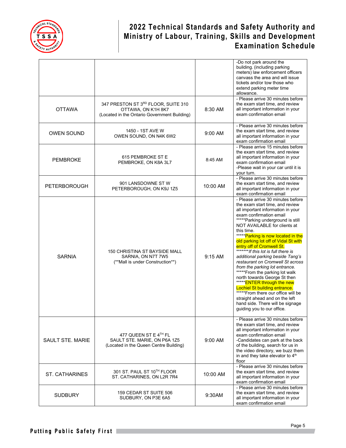

|                         |                                                                                                           |           | -Do not park around the<br>building. (including parking<br>meters) law enforcement officers<br>canvass the area and will issue<br>tickets and/or tow those who<br>extend parking meter time<br>allowance.                                                                                                                                                                                                                                                                                                                                                                                                                                                                                                                                                                       |
|-------------------------|-----------------------------------------------------------------------------------------------------------|-----------|---------------------------------------------------------------------------------------------------------------------------------------------------------------------------------------------------------------------------------------------------------------------------------------------------------------------------------------------------------------------------------------------------------------------------------------------------------------------------------------------------------------------------------------------------------------------------------------------------------------------------------------------------------------------------------------------------------------------------------------------------------------------------------|
| <b>OTTAWA</b>           | 347 PRESTON ST 3RD FLOOR, SUITE 310<br>OTTAWA, ON K1H 8K7<br>(Located in the Ontario Government Building) | 8:30 AM   | - Please arrive 30 minutes before<br>the exam start time, and review<br>all important information in your<br>exam confirmation email                                                                                                                                                                                                                                                                                                                                                                                                                                                                                                                                                                                                                                            |
| <b>OWEN SOUND</b>       | 1450 - 1ST AVE W<br>OWEN SOUND, ON N4K 6W2                                                                | 9:00 AM   | - Please arrive 30 minutes before<br>the exam start time, and review<br>all important information in your<br>exam confirmation email                                                                                                                                                                                                                                                                                                                                                                                                                                                                                                                                                                                                                                            |
| <b>PEMBROKE</b>         | 615 PEMBROKE ST E<br>PEMBROKE, ON K8A 3L7                                                                 | 8:45 AM   | - Please arrive 15 minutes before<br>the exam start time, and review<br>all important information in your<br>exam confirmation email<br>-Please wait in your car until it is<br>your turn.                                                                                                                                                                                                                                                                                                                                                                                                                                                                                                                                                                                      |
| <b>PETERBOROUGH</b>     | 901 LANSDOWNE ST W<br>PETERBOROUGH, ON K9J 1Z5                                                            | 10:00 AM  | - Please arrive 30 minutes before<br>the exam start time, and review<br>all important information in your<br>exam confirmation email                                                                                                                                                                                                                                                                                                                                                                                                                                                                                                                                                                                                                                            |
| <b>SARNIA</b>           | 150 CHRISTINA ST BAYSIDE MALL<br>SARNIA, ON N7T 7W5<br>(**Mall is under Construction**)                   | $9:15$ AM | - Please arrive 30 minutes before<br>the exam start time, and review<br>all important information in your<br>exam confirmation email<br>*****Parking underground is still<br>NOT AVAILABLE for clients at<br>this time.<br>***** Parking is now located in the<br>old parking lot off of Vidal St with<br>entry off of Cromwell St.<br>********If this lot is full there is<br>additional parking beside Tang's<br>restaurant on Cromwell St across<br>from the parking lot entrance.<br>*****From the parking lot walk<br>north towards George St then<br>***** <b>ENTER through the new</b><br><b>Lochiel St building entrance.</b><br>*****From there our office will be<br>straight ahead and on the left<br>hand side. There will be signage<br>guiding you to our office. |
| <b>SAULT STE, MARIE</b> | 477 QUEEN ST E 4TH FL<br>SAULT STE. MARIE, ON P6A 1Z5<br>(Located in the Queen Centre Building)           | 9:00 AM   | - Please arrive 30 minutes before<br>the exam start time, and review<br>all important information in your<br>exam confirmation email<br>-Candidates can park at the back<br>of the building, search for us in<br>the video directory, we buzz them<br>in and they take elevator to 4 <sup>th</sup><br>floor                                                                                                                                                                                                                                                                                                                                                                                                                                                                     |
| <b>ST. CATHARINES</b>   | 301 ST. PAUL ST 10TH FLOOR<br>ST. CATHARINES, ON L2R 7R4                                                  | 10:00 AM  | - Please arrive 30 minutes before<br>the exam start time, and review<br>all important information in your<br>exam confirmation email                                                                                                                                                                                                                                                                                                                                                                                                                                                                                                                                                                                                                                            |
| <b>SUDBURY</b>          | 159 CEDAR ST SUITE 506<br>SUDBURY, ON P3E 6A5                                                             | 9:30AM    | - Please arrive 30 minutes before<br>the exam start time, and review<br>all important information in your<br>exam confirmation email                                                                                                                                                                                                                                                                                                                                                                                                                                                                                                                                                                                                                                            |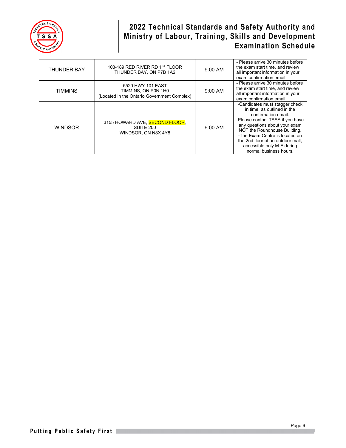

| <b>THUNDER BAY</b> | 103-189 RED RIVER RD 1ST FLOOR<br>THUNDER BAY, ON P7B 1A2                               | 9:00 AM   | - Please arrive 30 minutes before<br>the exam start time, and review<br>all important information in your<br>exam confirmation email                                                                                                                                                                                     |
|--------------------|-----------------------------------------------------------------------------------------|-----------|--------------------------------------------------------------------------------------------------------------------------------------------------------------------------------------------------------------------------------------------------------------------------------------------------------------------------|
| <b>TIMMINS</b>     | 5520 HWY 101 EAST<br>TIMMINS, ON P0N 1H0<br>(Located in the Ontario Government Complex) | $9:00$ AM | - Please arrive 30 minutes before<br>the exam start time, and review<br>all important information in your<br>exam confirmation email                                                                                                                                                                                     |
| <b>WINDSOR</b>     | 3155 HOWARD AVE, SECOND FLOOR,<br>SUITE 200<br>WINDSOR, ON N8X 4Y8                      | $9:00$ AM | -Candidates must stagger check<br>in time, as outlined in the<br>confirmation email.<br>-Please contact TSSA if you have<br>any questions about your exam<br>NOT the Roundhouse Building.<br>-The Exam Centre is located on<br>the 2nd floor of an outdoor mall.<br>accessible only M-F during<br>normal business hours. |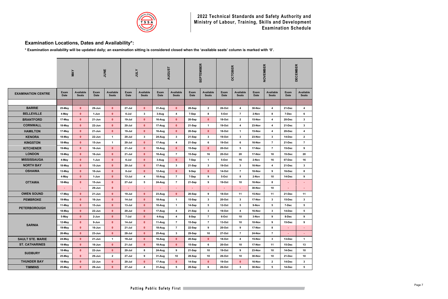

# **Examination Locations, Dates and Availability\*:**

**\* Examination availability will be updated daily; an examination sitting is considered closed when the 'available seats' column is marked with '0'.**

|                           |                     | MAY                              |                     | JUNE                      | <b>ATOL</b>         |                                  | <b>AUGUST</b>       |                                  | <b>SEPTEMBER</b>           |                                  | <b>OCTOBER</b>      |                                  |              | NOVEMBER                         | ER<br><b>DECEMB</b> |                           |
|---------------------------|---------------------|----------------------------------|---------------------|---------------------------|---------------------|----------------------------------|---------------------|----------------------------------|----------------------------|----------------------------------|---------------------|----------------------------------|--------------|----------------------------------|---------------------|---------------------------|
| <b>EXAMINATION CENTRE</b> | Exam<br><b>Date</b> | <b>Available</b><br><b>Seats</b> | Exam<br><b>Date</b> | Available<br><b>Seats</b> | Exam<br><b>Date</b> | <b>Available</b><br><b>Seats</b> | Exam<br><b>Date</b> | <b>Available</b><br><b>Seats</b> | <b>Exam</b><br><b>Date</b> | <b>Available</b><br><b>Seats</b> | <b>Exam</b><br>Date | <b>Available</b><br><b>Seats</b> | Exam<br>Date | <b>Available</b><br><b>Seats</b> | Exam<br><b>Date</b> | Available<br><b>Seats</b> |
|                           |                     |                                  |                     |                           |                     |                                  |                     |                                  |                            |                                  |                     |                                  |              |                                  |                     |                           |
| <b>BARRIE</b>             | 25-May              | $\mathbf{0}$                     | 29-Jun              | $\mathbf{0}$              | $27 -$ Jul          | $\mathbf{0}$                     | 31-Aug              | $\mathbf{0}$                     | 28-Sep                     | $\overline{2}$                   | 26-Oct              | $\overline{4}$                   | 30-Nov       | 4                                | 21-Dec              | 4                         |
| <b>BELLEVILLE</b>         | 4-May               | $\mathbf{0}$                     | 1-Jun               | $\mathbf{0}$              | 6-Jul               | $\mathbf{3}$                     | 3-Aug               | 4                                | 7-Sep                      | 8                                | 5-Oct               | $\overline{7}$                   | 2-Nov        | 8                                | 7-Dec               | 6                         |
| <b>BRANTFORD</b>          | 17-May              | $\mathbf{0}$                     | $21 - Jun$          | $\mathbf{0}$              | 19-Jul              | $\mathbf{0}$                     | 16-Aug              | $\mathbf{0}$                     | 20-Sep                     | $\mathbf{0}$                     | <b>18-Oct</b>       | $\overline{2}$                   | 15-Nov       | 4                                | 20-Dec              | 3                         |
| <b>CORNWALL</b>           | 18-May              | $\mathbf{0}$                     | 22-Jun              | $\mathbf{0}$              | $20 -$ Jul          | $\mathbf{0}$                     | 17-Aug              | $\mathbf{0}$                     | 21-Sep                     | $\mathbf{1}$                     | $19-Oct$            | 4                                | 23-Nov       | 4                                | 21-Dec              | 3                         |
| <b>HAMILTON</b>           | 17-May              | $\mathbf{0}$                     | $21 - Jun$          | $\mathbf{0}$              | 19-Jul              | $\mathbf{0}$                     | 16-Aug              | $\mathbf{0}$                     | 20-Sep                     | $\mathbf{0}$                     | <b>18-Oct</b>       | $\overline{1}$                   | 15-Nov       | 4                                | 20-Dec              | 4                         |
| <b>KENORA</b>             | 18-May              | $\mathbf{0}$                     | 22-Jun              | $\mathbf{1}$              | $20 -$ Jul          | 3                                | 24-Aug              | 3                                | 21-Sep                     | 3                                | $19-Oct$            | $\mathbf{3}$                     | 23-Nov       | $\mathbf{3}$                     | 14-Dec              | $\mathbf{2}$              |
| <b>KINGSTON</b>           | 18-May              | $\mathbf{0}$                     | 15-Jun              | $\mathbf{1}$              | $20 -$ Jul          | $\mathbf{0}$                     | 17-Aug              | 4                                | 21-Sep                     | 6                                | 19-Oct              | 6                                | 16-Nov       | $\overline{7}$                   | 21-Dec              | $\overline{7}$            |
| <b>KITCHENER</b>          | 19-May              | $\mathbf{0}$                     | 16-Jun              | $\mathbf{0}$              | $21 -$ Jul          | $\mathbf{0}$                     | $18-Aug$            | $\mathbf{0}$                     | 15-Sep                     | $\mathbf{0}$                     | 20-Oct              | 5                                | 17-Nov       | $\overline{7}$                   | 15-Dec              | 9                         |
| <b>LONDON</b>             | 19-May              | $\mathbf{0}$                     | 16-Jun              | $\mathbf{0}$              | $21 -$ Jul          | $\mathbf{0}$                     | 18-Aug              | $\overline{7}$                   | 15-Sep                     | 16                               | 20-Oct              | 20                               | 17-Nov       | 18                               | 15-Dec              | 20                        |
| <b>MISSISSAUGA</b>        | 4-May               | $\mathbf{0}$                     | 1-Jun               | $\mathbf{0}$              | 6-Jul               | $\mathbf{0}$                     | 3-Aug               | $\mathbf{0}$                     | 7-Sep                      | $\mathbf{1}$                     | 5-Oct               | 16                               | 2-Nov        | 16                               | 07-Dec              | 16                        |
| <b>NORTH BAY</b>          | 18-May              | $\mathbf{0}$                     | 15-Jun              | $\mathbf{0}$              | $20 -$ Jul          | $\mathbf{0}$                     | 17-Aug              | 3                                | 21-Sep                     | 3                                | $19-Oct$            | $\mathbf{3}$                     | 16-Nov       | $\overline{4}$                   | 21-Dec              | 3                         |
| <b>OSHAWA</b>             | $13-May$            | $\mathbf{0}$                     | 10-Jun              | $\mathbf{0}$              | 8-Jul               | $\mathbf{0}$                     | 12-Aug              | $\mathbf{0}$                     | 9-Sep                      | $\mathbf{0}$                     | 14-Oct              | $\overline{7}$                   | 18-Nov       | 9                                | 16-Dec              | 8                         |
|                           | 4-May               | $\mathbf{0}$                     | 1-Jun               | $\mathbf{0}$              | $13 -$ Jul          | 4                                | $10-Au$ g           | $\overline{7}$                   | 7-Sep                      | 9                                | 5-Oct               | 8                                | 2-Nov        | 10                               | 14-Dec              | 9                         |
| <b>OTTAWA</b>             | 18-May              | $\mathbf{0}$                     | 15-Jun              | $\mathbf{0}$              | 27-Jul              | 5                                | 24-Aug              | $\overline{7}$                   | 21-Sep                     | 9                                | 19-Oct              | 10                               | 16-Nov       | 8                                | ٠                   | $\sim$                    |
|                           |                     | ÷                                | 29-Jun              | $\mathbf{0}$              |                     | $\blacksquare$                   | ٠                   | ٠                                |                            |                                  |                     | ٠                                | 30-Nov       | 10                               |                     | <b>A</b>                  |
| <b>OWEN SOUND</b>         | 17-May              | $\mathbf{0}$                     | $21 - Jun$          | $\mathbf{0}$              | 19-Jul              | $\mathbf{0}$                     | $23-Aug$            | $\mathbf{0}$                     | 20-Sep                     | 9                                | <b>18-Oct</b>       | 11                               | 15-Nov       | 11                               | 21-Dec              | 11                        |
| <b>PEMBROKE</b>           | $19$ -May           | $\mathbf{0}$                     | 16-Jun              | $\mathbf{0}$              | 14-Jul              | $\mathbf{0}$                     | 18-Aug              | $\blacktriangleleft$             | 15-Sep                     | 3                                | 20-Oct              | $\mathbf{3}$                     | 17-Nov       | $\mathbf{3}$                     | 15-Dec              | 3                         |
| <b>PETERBOROUGH</b>       | 11-May              | $\mathbf{0}$                     | 15-Jun              | $\mathbf{0}$              | 13-Jul              | $\mathbf{0}$                     | 10-Aug              | $\mathbf{1}$                     | 14-Sep                     | 5                                | 12-Oct              | 5                                | 9-Nov        | 5                                | 7-Dec               | 5                         |
|                           | $18-May$            | $\mathbf{0}$                     | 22-Jun              | $\mathbf{0}$              | 20-Jul              | $\mathbf{0}$                     | 17-Aug              | 4                                | 21-Sep                     | 3                                | 19-Oct              | 4                                | 16-Nov       | 3                                | 14-Dec              | 5                         |
|                           | 5-May               | $\mathbf{0}$                     | 2-Jun               | $\mathbf{0}$              | 7-Jul               | $\mathbf{0}$                     | 4-Aug               | 4                                | 8-Sep                      | $\overline{7}$                   | 6-Oct               | 10                               | 3-Nov        | 9                                | 8-Dec               | 9                         |
| <b>SARNIA</b>             | 12-May              | $\mathbf{0}$                     | 9-Jun               | $\mathbf{0}$              | 14-Jul              | $\mathbf{0}$                     | $11-Aug$            | $\overline{7}$                   | 15-Sep                     | $\overline{7}$                   | 13-Oct              | 10                               | 10-Nov       | 9                                | 15-Dec              | 9                         |
|                           | 19-May              | $\bullet$                        | 16-Jun              | $\mathbf{0}$              | $21$ -Jul           | $\mathbf{0}$                     | 18-Aug              | $\overline{7}$                   | 22-Sep                     | 9                                | 20-Oct              | 9                                | 17-Nov       | 8                                | $\sim$              | $\sim$                    |
|                           | 26-May              | $\mathbf{0}$                     | $23 - Jun$          | $\mathbf{0}$              | $28 -$ Jul          | $\mathbf{0}$                     | $25-Aug$            | 3                                | 29-Sep                     | 10                               | 27-Oct              | $\overline{7}$                   | 24-Nov       | $\overline{7}$                   | $\sim$              |                           |
| <b>SAULT STE. MARIE</b>   | 24-May              | $\bullet$                        | 21-Jun              | $\mathbf 1$               | 19-Jul              | $\mathbf{0}$                     | 16-Aug              | $\mathbf{0}$                     | 20-Sep                     | $\mathbf{0}$                     | <b>18-Oct</b>       | 4                                | 15-Nov       | $\mathbf{3}$                     | 13-Dec              | $\mathbf{1}$              |
| <b>ST. CATHARINES</b>     | 19-May              | $\mathbf{0}$                     | 16-Jun              | $\mathbf{0}$              | $21$ -Jul           | $\mathbf{0}$                     | $18-Aug$            | $\mathbf{0}$                     | 15-Sep                     | 6                                | 20-Oct              | 10                               | 17-Nov       | 11                               | 15-Dec              | 13                        |
| <b>SUDBURY</b>            | 18-May              | $\bullet$                        | 22-Jun              | $\mathbf{0}$              | $20 -$ Jul          | 8                                | 24-Aug              | 9                                | 21-Sep                     | 10                               | $19-Oct$            | 9                                | 23-Nov       | 10                               | 14-Dec              | 10                        |
|                           | 25-May              | $\mathbf{0}$                     | 29-Jun              | $\mathbf{2}$              | 27-Jul              | 9                                | $31-Aug$            | 10                               | 28-Sep                     | 10                               | 26-Oct              | 10                               | 30-Nov       | 10                               | 21-Dec              | 10                        |
| <b>THUNDER BAY</b>        | 18-May              | $\bullet$                        | 22-Jun              | $\mathbf{0}$              | $20 -$ Jul          | $\mathbf{0}$                     | 17-Aug              | $\mathbf{0}$                     | 14-Sep                     | $\mathbf{0}$                     | $19-Oct$            | $\mathbf{0}$                     | 16-Nov       | $\mathbf{2}$                     | 14-Dec              | 3                         |
| <b>TIMMINS</b>            | 25-May              | $\bullet$                        | 29-Jun              | $\mathbf{0}$              | $27 -$ Jul          | 4                                | 31-Aug              | 5                                | 28-Sep                     | 6                                | 26-Oct              | $\mathbf{3}$                     | 30-Nov       | $5\phantom{.0}$                  | 14-Dec              | $5\phantom{.0}$           |

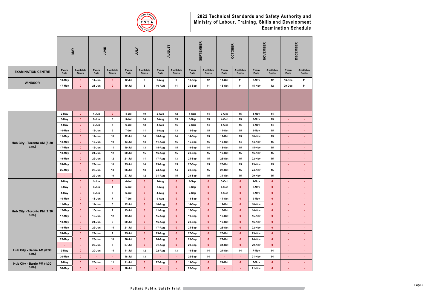

|                                         |                     | <b>MAY</b>                   |                  | JUNE                             |                          | <b>ATOr</b>                      |                            | <b>AUGUST</b>             |                  | <b>SEPTEMBER</b>          |                     | <b>OCTOBER</b>            |                  | NOVEMBER                  |                     | <b>DECEMBER</b>           |
|-----------------------------------------|---------------------|------------------------------|------------------|----------------------------------|--------------------------|----------------------------------|----------------------------|---------------------------|------------------|---------------------------|---------------------|---------------------------|------------------|---------------------------|---------------------|---------------------------|
| <b>EXAMINATION CENTRE</b>               | Exam<br><b>Date</b> | Available<br><b>Seats</b>    | Exam<br>Date     | <b>Available</b><br><b>Seats</b> | Exam<br><b>Date</b>      | <b>Available</b><br><b>Seats</b> | <b>Exam</b><br><b>Date</b> | Available<br><b>Seats</b> | Exam<br>Date     | Available<br><b>Seats</b> | Exam<br><b>Date</b> | Available<br><b>Seats</b> | Exam<br>Date     | Available<br><b>Seats</b> | Exam<br><b>Date</b> | Available<br><b>Seats</b> |
| <b>WINDSOR</b>                          | 10-May              | $\mathbf{0}$                 | 14-Jun           | $\mathbf{0}$                     | $12$ -Jul                | $\mathbf{2}$                     | 9-Aug                      | 9                         | 13-Sep           | 12                        | 11-Oct              | 11                        | 8-Nov            | 12                        | 13-Dec              | 11                        |
|                                         | 17-May              | $\mathbf{0}$                 | 21-Jun           | $\mathbf{0}$                     | 19-Jul                   | 8                                | 16-Aug                     | 11                        | 20-Sep           | 11                        | 18-Oct              | 11                        | 15-Nov           | 12                        | 20-Dec              | 11                        |
|                                         |                     |                              |                  |                                  |                          |                                  |                            |                           |                  |                           |                     |                           |                  |                           |                     |                           |
|                                         | 2-May               | $\mathbf{0}$                 | 1-Jun            | $\mathbf{0}$                     | 4-Jul                    | 10                               | 2-Aug                      | 12                        | 1-Sep            | 14                        | 3-Oct               | 15                        | 1-Nov            | 14                        | ٠                   |                           |
|                                         | 3-May               | $\mathbf{0}$                 | 8-Jun            | $\mathbf{3}$                     | 5-Jul                    | 14                               | 3-Aug                      | 15                        | 6-Sep            | 15                        | 4-Oct               | 15                        | 2-Nov            | 15                        | ٠                   |                           |
|                                         | 4-May               | $\mathbf{0}$                 | 9-Jun            | $\overline{7}$                   | 6-Jul                    | 12                               | 4-Aug                      | 15                        | 7-Sep            | 14                        | 5-Oct               | 15                        | 8-Nov            | 14                        | $\sim$              | <b>A</b>                  |
|                                         | 10-May              | $\mathbf{0}$                 | 13-Jun           | 9                                | 7-Jul                    | 11                               | 9-Aug                      | 13                        | 13-Sep           | 15                        | 11-Oct              | 15                        | 9-Nov            | 15                        | ÷                   | ÷.                        |
|                                         | 11-May              | $\mathbf{0}$                 | 14-Jun           | 10                               | $12 -$ Jul               | 14                               | 10-Aug                     | 14                        | 14-Sep           | 15                        | 12-Oct              | 15                        | 10-Nov           | 15                        | ٠                   | <b>A</b>                  |
| Hub City - Toronto AM (8:30<br>$a.m.$ ) | 12-May              | $\mathbf{0}$                 | 15-Jun           | 10                               | $13 -$ Jul               | 13                               | 11-Aug                     | 15                        | 15-Sep           | 15                        | $13-Oct$            | 14                        | 14-Nov           | 15                        | ٠                   | $\sim$                    |
|                                         | 17-May              | $\mathbf{0}$<br>$\mathbf{0}$ | 16-Jun           | 11<br>12                         | $19 -$ Jul<br>$20 -$ Jul | 13<br>15                         | 15-Aug                     | 15<br>15                  | 19-Sep           | 14<br>15                  | 18-Oct<br>$19-Oct$  | 15<br>15                  | 15-Nov<br>16-Nov | 15<br>15                  | ٠                   | <b>H</b>                  |
|                                         | 18-May<br>19-May    | $\mathbf{0}$                 | 21-Jun<br>22-Jun | 12                               | $21 -$ Jul               | 11                               | 16-Aug<br>17-Aug           | 13                        | 20-Sep<br>21-Sep | 15                        | 25-Oct              | 15                        | 22-Nov           | 15                        | ٠<br>×.             | <b>H</b>                  |
|                                         | 24-May              | $\bullet$                    | 27-Jun           | 10                               | 25-Jul                   | 14                               | 23-Aug                     | 15                        | 27-Sep           | 15                        | 26-Oct              | 15                        | 23-Nov           | 15                        | ٠                   | ×.                        |
|                                         | 25-May              | $\mathbf{0}$                 | 28-Jun           | 13                               | 26-Jul                   | 13                               | 24-Aug                     | 14                        | 28-Sep           | 15                        | 27-Oct              | 15                        | 24-Nov           | 15                        | $\blacksquare$      | <b>A</b>                  |
|                                         |                     | $\sim$                       | 29-Jun           | 10                               | 27-Jul                   | 12                               | 31-Aug                     | 15                        | 29-Sep           | 15                        | 31-Oct              | 15                        | 29-Nov           | 15                        | $\sim$              | <b>H</b>                  |
|                                         | 2-May               | $\mathbf{0}$                 | 1-Jun            | $\bullet$                        | 4-Jul                    | $\mathbf{0}$                     | 2-Aug                      | $\mathbf{0}$              | 1-Sep            | $\mathbf{0}$              | 3-Oct               | $\mathbf{0}$              | 1-Nov            | $\bullet$                 | ÷.                  | <b>A</b>                  |
|                                         | 3-May               | $\bullet$                    | 8-Jun            | $\mathbf{1}$                     | 5-Jul                    | $\mathbf{0}$                     | 3-Aug                      | $\mathbf{0}$              | 6-Sep            | $\mathbf{0}$              | 4-Oct               | $\mathbf{0}$              | 2-Nov            | $\bullet$                 | ÷                   |                           |
|                                         | 4-May               | $\mathbf{0}$                 | 9-Jun            | 7                                | 6-Jul                    | $\mathbf{0}$                     | 4-Aug                      | $\mathbf{0}$              | 7-Sep            | $\mathbf{0}$              | 5-Oct               | $\mathbf{0}$              | 8-Nov            | $\mathbf{0}$              |                     |                           |
|                                         | 10-May              | $\mathbf{0}$                 | 13-Jun           | $\overline{7}$                   | 7-Jul                    | $\mathbf{0}$                     | 9-Aug                      | $\mathbf{0}$              | 13-Sep           | $\mathbf{0}$              | $11-Oct$            | $\bullet$                 | 9-Nov            | $\bullet$                 | ÷                   |                           |
|                                         | 11-May              | $\mathbf 0$                  | 14-Jun           | $5\phantom{.0}$                  | $12$ -Jul                | $\bullet$                        | 10-Aug                     | $\mathbf{0}$              | 14-Sep           | $\mathbf{0}$              | $12-Oct$            | $\bullet$                 | 10-Nov           | $\bullet$                 | ÷.                  | $\sim$                    |
| Hub City - Toronto PM (1:30             | 12-May              | $\bullet$                    | 15-Jun           | $\overline{7}$                   | 13-Jul                   | $\mathbf{0}$                     | 11-Aug                     | $\mathbf{0}$              | 15-Sep           | $\mathbf{0}$              | $13-Oct$            | $\bullet$                 | 14-Nov           | $\bullet$                 | ÷                   | $\sim$                    |
| p.m.)                                   | 17-May              | $\bullet$                    | 16-Jun           | 12                               | 19-Jul                   | $\mathbf{0}$                     | 15-Aug                     | $\mathbf{0}$              | 19-Sep           | $\mathbf{0}$              | 18-Oct              | $\bullet$                 | 15-Nov           | $\bullet$                 | ÷.                  | $\sim$                    |
|                                         | 18-May              | $\bullet$                    | $21 - Jun$       | 8                                | $20 -$ Jul               | $\mathbf{0}$                     | 16-Aug                     | $\mathbf{0}$              | 20-Sep           | $\mathbf{0}$              | $19-Oct$            | $\bullet$                 | 16-Nov           | $\bullet$                 | $\sim$              | $\sim$                    |
|                                         | 19-May              | $\bullet$                    | 22-Jun           | 14                               | 21-Jul                   | $\mathbf{0}$                     | 17-Aug                     | $\bullet$                 | 21-Sep           | $\mathbf{0}$              | 25-Oct              | $\bullet$                 | 22-Nov           | $\mathbf{0}$              | $\blacksquare$      | <b>H</b>                  |
|                                         | 24-May              | $\mathbf 0$                  | 27-Jun           | $\overline{7}$                   | 25-Jul                   | $\mathbf{0}$                     | 23-Aug                     | $\mathbf{0}$              | 27-Sep           | $\mathbf{0}$              | 26-Oct              | $\bullet$                 | 23-Nov           | $\bullet$                 | ä,                  | $\sim$                    |
|                                         | 25-May              | $\mathbf{0}$                 | 28-Jun           | 10                               | 26-Jul                   | $\mathbf{0}$                     | 24-Aug                     | $\bullet$                 | 28-Sep           | $\mathbf{0}$              | 27-Oct              | $\bullet$                 | 24-Nov           | $\bullet$                 | ٠                   | $\sim$                    |
|                                         | ٠                   | $\blacksquare$               | 29-Jun           | $\overline{7}$                   | $27 -$ Jul               | $\bullet$                        | 31-Aug                     | $\mathbf{0}$              | 29-Sep           | $\mathbf{0}$              | 31-Oct              | $\bullet$                 | 29-Nov           | $\bullet$                 | ٠                   | <b>H</b>                  |
| Hub City - Barrie AM (8:30              | 9-May               | $\mathbf{0}$                 | $20 - Jun$       | 14                               | $11$ -Jul                | 12                               | 22-Aug                     | 13                        | 19-Sep           | 14                        | 24-Oct              | 14                        | 7-Nov            | 14                        | ÷                   | $\sim$                    |
| $a.m.$ )                                | 30-May              | $\bullet$                    |                  | ÷                                | 18-Jul                   | 13                               |                            | $\sim$                    | 26-Sep           | 14                        |                     | $\blacksquare$            | 21-Nov           | 14                        | ٠                   | $\sim$                    |
| Hub City - Barrie PM (1:30              | 9-May               | $\bullet$                    | $20 - Jun$       | 11                               | $11-Jul$                 | $\mathbf{0}$                     | 22-Aug                     | $\mathbf{0}$              | 19-Sep           | $\mathbf{0}$              | 24-Oct              | $\bullet$                 | 7-Nov            | $\bullet$                 | ÷                   | $\sim$                    |
| $a.m.$ )                                | 30-May              | $\bullet$                    |                  | ÷                                | 18-Jul                   | $\mathbf{0}$                     |                            | $\sim$                    | 26-Sep           | $\mathbf{0}$              |                     | $\blacksquare$            | $21-Nov$         | $\mathbf 0$               | ٠                   | $\sim$                    |